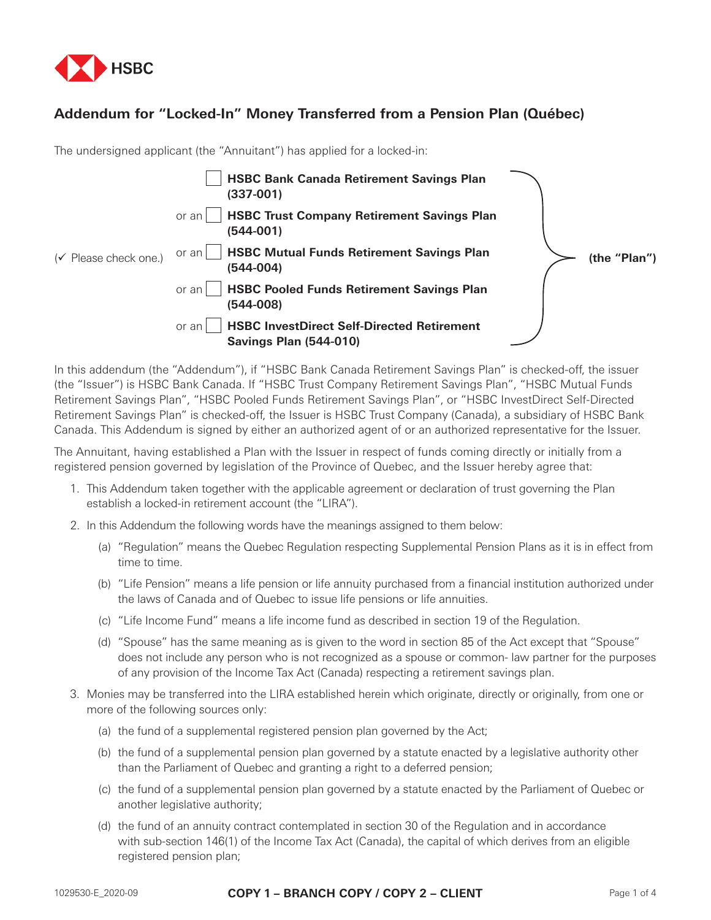

## **Addendum for "Locked-In" Money Transferred from a Pension Plan (Québec)**

The undersigned applicant (the "Annuitant") has applied for a locked-in:

| $(\checkmark)$ Please check one.) | <b>HSBC Bank Canada Retirement Savings Plan</b><br>$(337-001)$                              | (the "Plan") |
|-----------------------------------|---------------------------------------------------------------------------------------------|--------------|
|                                   | <b>HSBC Trust Company Retirement Savings Plan</b><br>or an<br>(544-001)                     |              |
|                                   | <b>HSBC Mutual Funds Retirement Savings Plan</b><br>or an l<br>(544-004)                    |              |
|                                   | <b>HSBC Pooled Funds Retirement Savings Plan</b><br>or an<br>(544-008)                      |              |
|                                   | <b>HSBC InvestDirect Self-Directed Retirement</b><br>or an<br><b>Savings Plan (544-010)</b> |              |

In this addendum (the "Addendum"), if "HSBC Bank Canada Retirement Savings Plan" is checked-off, the issuer (the "Issuer") is HSBC Bank Canada. If "HSBC Trust Company Retirement Savings Plan", "HSBC Mutual Funds Retirement Savings Plan", "HSBC Pooled Funds Retirement Savings Plan", or "HSBC InvestDirect Self-Directed Retirement Savings Plan" is checked-off, the Issuer is HSBC Trust Company (Canada), a subsidiary of HSBC Bank Canada. This Addendum is signed by either an authorized agent of or an authorized representative for the Issuer.

The Annuitant, having established a Plan with the Issuer in respect of funds coming directly or initially from a registered pension governed by legislation of the Province of Quebec, and the Issuer hereby agree that:

- 1. This Addendum taken together with the applicable agreement or declaration of trust governing the Plan establish a locked-in retirement account (the "LIRA").
- 2. In this Addendum the following words have the meanings assigned to them below:
	- (a) "Regulation" means the Quebec Regulation respecting Supplemental Pension Plans as it is in effect from time to time.
	- (b) "Life Pension" means a life pension or life annuity purchased from a financial institution authorized under the laws of Canada and of Quebec to issue life pensions or life annuities.
	- (c) "Life Income Fund" means a life income fund as described in section 19 of the Regulation.
	- (d) "Spouse" has the same meaning as is given to the word in section 85 of the Act except that "Spouse" does not include any person who is not recognized as a spouse or common- law partner for the purposes of any provision of the Income Tax Act (Canada) respecting a retirement savings plan.
- 3. Monies may be transferred into the LIRA established herein which originate, directly or originally, from one or more of the following sources only:
	- (a) the fund of a supplemental registered pension plan governed by the Act;
	- (b) the fund of a supplemental pension plan governed by a statute enacted by a legislative authority other than the Parliament of Quebec and granting a right to a deferred pension;
	- (c) the fund of a supplemental pension plan governed by a statute enacted by the Parliament of Quebec or another legislative authority;
	- (d) the fund of an annuity contract contemplated in section 30 of the Regulation and in accordance with sub-section 146(1) of the Income Tax Act (Canada), the capital of which derives from an eligible registered pension plan;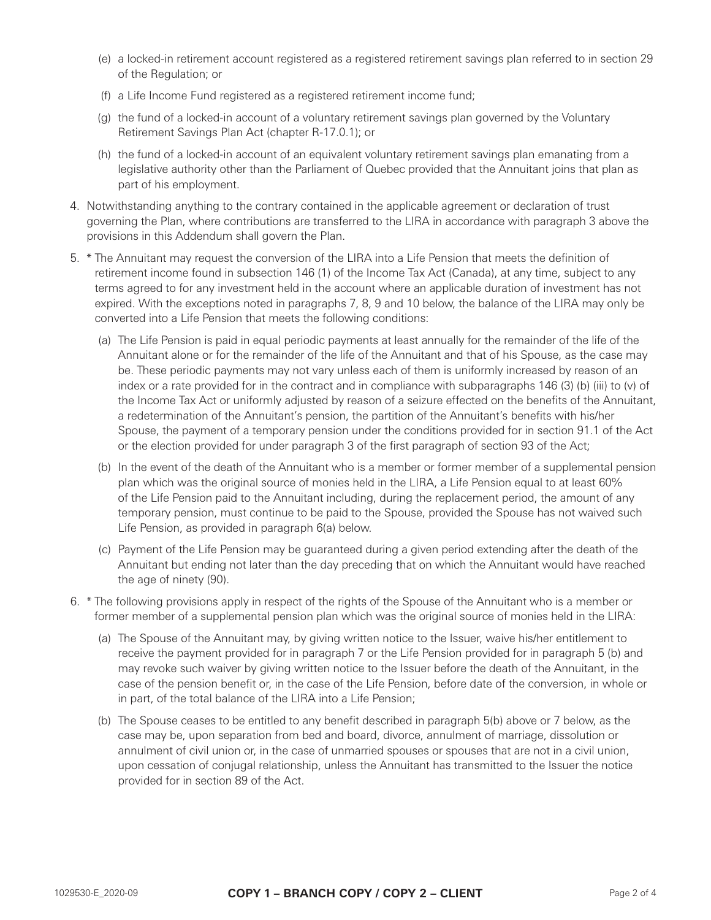- (e) a locked-in retirement account registered as a registered retirement savings plan referred to in section 29 of the Regulation; or
- (f) a Life Income Fund registered as a registered retirement income fund;
- (g) the fund of a locked-in account of a voluntary retirement savings plan governed by the Voluntary Retirement Savings Plan Act (chapter R-17.0.1); or
- (h) the fund of a locked-in account of an equivalent voluntary retirement savings plan emanating from a legislative authority other than the Parliament of Quebec provided that the Annuitant joins that plan as part of his employment.
- 4. Notwithstanding anything to the contrary contained in the applicable agreement or declaration of trust governing the Plan, where contributions are transferred to the LIRA in accordance with paragraph 3 above the provisions in this Addendum shall govern the Plan.
- 5. \* The Annuitant may request the conversion of the LIRA into a Life Pension that meets the definition of retirement income found in subsection 146 (1) of the Income Tax Act (Canada), at any time, subject to any terms agreed to for any investment held in the account where an applicable duration of investment has not expired. With the exceptions noted in paragraphs 7, 8, 9 and 10 below, the balance of the LIRA may only be converted into a Life Pension that meets the following conditions:
	- (a) The Life Pension is paid in equal periodic payments at least annually for the remainder of the life of the Annuitant alone or for the remainder of the life of the Annuitant and that of his Spouse, as the case may be. These periodic payments may not vary unless each of them is uniformly increased by reason of an index or a rate provided for in the contract and in compliance with subparagraphs 146 (3) (b) (iii) to (v) of the Income Tax Act or uniformly adjusted by reason of a seizure effected on the benefits of the Annuitant, a redetermination of the Annuitant's pension, the partition of the Annuitant's benefits with his/her Spouse, the payment of a temporary pension under the conditions provided for in section 91.1 of the Act or the election provided for under paragraph 3 of the first paragraph of section 93 of the Act;
	- (b) In the event of the death of the Annuitant who is a member or former member of a supplemental pension plan which was the original source of monies held in the LIRA, a Life Pension equal to at least 60% of the Life Pension paid to the Annuitant including, during the replacement period, the amount of any temporary pension, must continue to be paid to the Spouse, provided the Spouse has not waived such Life Pension, as provided in paragraph 6(a) below.
	- (c) Payment of the Life Pension may be guaranteed during a given period extending after the death of the Annuitant but ending not later than the day preceding that on which the Annuitant would have reached the age of ninety (90).
- 6. \* The following provisions apply in respect of the rights of the Spouse of the Annuitant who is a member or former member of a supplemental pension plan which was the original source of monies held in the LIRA:
	- (a) The Spouse of the Annuitant may, by giving written notice to the Issuer, waive his/her entitlement to receive the payment provided for in paragraph 7 or the Life Pension provided for in paragraph 5 (b) and may revoke such waiver by giving written notice to the Issuer before the death of the Annuitant, in the case of the pension benefit or, in the case of the Life Pension, before date of the conversion, in whole or in part, of the total balance of the LIRA into a Life Pension;
	- (b) The Spouse ceases to be entitled to any benefit described in paragraph 5(b) above or 7 below, as the case may be, upon separation from bed and board, divorce, annulment of marriage, dissolution or annulment of civil union or, in the case of unmarried spouses or spouses that are not in a civil union, upon cessation of conjugal relationship, unless the Annuitant has transmitted to the Issuer the notice provided for in section 89 of the Act.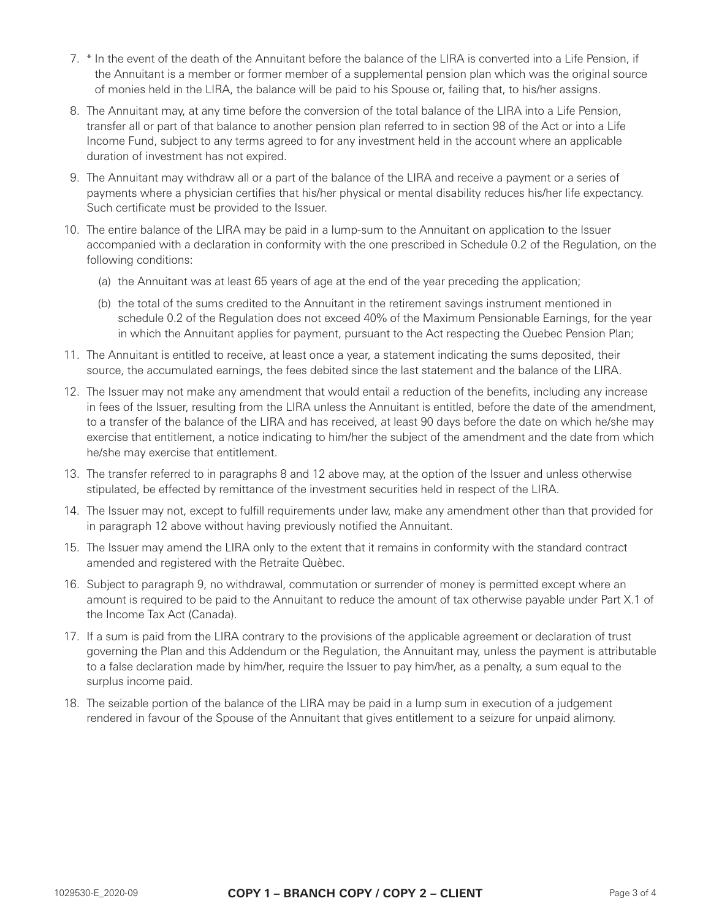- 7. \* In the event of the death of the Annuitant before the balance of the LIRA is converted into a Life Pension, if the Annuitant is a member or former member of a supplemental pension plan which was the original source of monies held in the LIRA, the balance will be paid to his Spouse or, failing that, to his/her assigns.
- 8. The Annuitant may, at any time before the conversion of the total balance of the LIRA into a Life Pension, transfer all or part of that balance to another pension plan referred to in section 98 of the Act or into a Life Income Fund, subject to any terms agreed to for any investment held in the account where an applicable duration of investment has not expired.
- 9. The Annuitant may withdraw all or a part of the balance of the LIRA and receive a payment or a series of payments where a physician certifies that his/her physical or mental disability reduces his/her life expectancy. Such certificate must be provided to the Issuer.
- 10. The entire balance of the LIRA may be paid in a lump-sum to the Annuitant on application to the Issuer accompanied with a declaration in conformity with the one prescribed in Schedule 0.2 of the Regulation, on the following conditions:
	- (a) the Annuitant was at least 65 years of age at the end of the year preceding the application;
	- (b) the total of the sums credited to the Annuitant in the retirement savings instrument mentioned in schedule 0.2 of the Regulation does not exceed 40% of the Maximum Pensionable Earnings, for the year in which the Annuitant applies for payment, pursuant to the Act respecting the Quebec Pension Plan;
- 11. The Annuitant is entitled to receive, at least once a year, a statement indicating the sums deposited, their source, the accumulated earnings, the fees debited since the last statement and the balance of the LIRA.
- 12. The Issuer may not make any amendment that would entail a reduction of the benefits, including any increase in fees of the Issuer, resulting from the LIRA unless the Annuitant is entitled, before the date of the amendment, to a transfer of the balance of the LIRA and has received, at least 90 days before the date on which he/she may exercise that entitlement, a notice indicating to him/her the subject of the amendment and the date from which he/she may exercise that entitlement.
- 13. The transfer referred to in paragraphs 8 and 12 above may, at the option of the Issuer and unless otherwise stipulated, be effected by remittance of the investment securities held in respect of the LIRA.
- 14. The Issuer may not, except to fulfill requirements under law, make any amendment other than that provided for in paragraph 12 above without having previously notified the Annuitant.
- 15. The Issuer may amend the LIRA only to the extent that it remains in conformity with the standard contract amended and registered with the Retraite Quèbec.
- 16. Subject to paragraph 9, no withdrawal, commutation or surrender of money is permitted except where an amount is required to be paid to the Annuitant to reduce the amount of tax otherwise payable under Part X.1 of the Income Tax Act (Canada).
- 17. If a sum is paid from the LIRA contrary to the provisions of the applicable agreement or declaration of trust governing the Plan and this Addendum or the Regulation, the Annuitant may, unless the payment is attributable to a false declaration made by him/her, require the Issuer to pay him/her, as a penalty, a sum equal to the surplus income paid.
- 18. The seizable portion of the balance of the LIRA may be paid in a lump sum in execution of a judgement rendered in favour of the Spouse of the Annuitant that gives entitlement to a seizure for unpaid alimony.